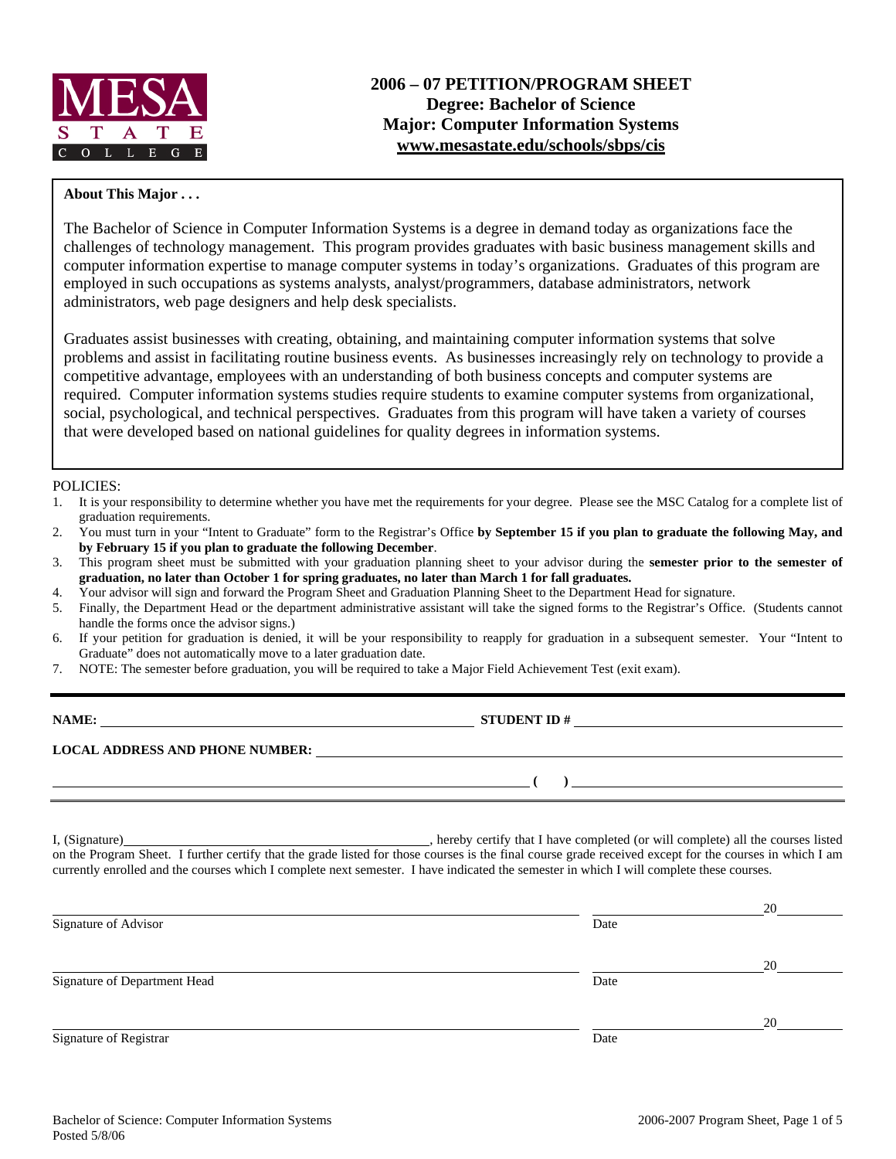

#### **About This Major . . .**

The Bachelor of Science in Computer Information Systems is a degree in demand today as organizations face the challenges of technology management. This program provides graduates with basic business management skills and computer information expertise to manage computer systems in today's organizations. Graduates of this program are employed in such occupations as systems analysts, analyst/programmers, database administrators, network administrators, web page designers and help desk specialists.

Graduates assist businesses with creating, obtaining, and maintaining computer information systems that solve problems and assist in facilitating routine business events. As businesses increasingly rely on technology to provide a competitive advantage, employees with an understanding of both business concepts and computer systems are required. Computer information systems studies require students to examine computer systems from organizational, social, psychological, and technical perspectives. Graduates from this program will have taken a variety of courses that were developed based on national guidelines for quality degrees in information systems.

#### POLICIES:

- 1. It is your responsibility to determine whether you have met the requirements for your degree. Please see the MSC Catalog for a complete list of graduation requirements.
- 2. You must turn in your "Intent to Graduate" form to the Registrar's Office **by September 15 if you plan to graduate the following May, and by February 15 if you plan to graduate the following December**.
- 3. This program sheet must be submitted with your graduation planning sheet to your advisor during the **semester prior to the semester of graduation, no later than October 1 for spring graduates, no later than March 1 for fall graduates.**
- 4. Your advisor will sign and forward the Program Sheet and Graduation Planning Sheet to the Department Head for signature.
- 5. Finally, the Department Head or the department administrative assistant will take the signed forms to the Registrar's Office. (Students cannot handle the forms once the advisor signs.)
- 6. If your petition for graduation is denied, it will be your responsibility to reapply for graduation in a subsequent semester. Your "Intent to Graduate" does not automatically move to a later graduation date.
- 7. NOTE: The semester before graduation, you will be required to take a Major Field Achievement Test (exit exam).

| NAME:                                  | <b>STUDENT ID#</b> |
|----------------------------------------|--------------------|
| <b>LOCAL ADDRESS AND PHONE NUMBER:</b> |                    |
|                                        |                    |

I, (Signature) **Source 2020** , hereby certify that I have completed (or will complete) all the courses listed on the Program Sheet. I further certify that the grade listed for those courses is the final course grade received except for the courses in which I am currently enrolled and the courses which I complete next semester. I have indicated the semester in which I will complete these courses.

|                              |      | 20 |
|------------------------------|------|----|
| Signature of Advisor         | Date |    |
|                              |      |    |
|                              |      | 20 |
| Signature of Department Head | Date |    |
|                              |      |    |
|                              |      | 20 |
| Signature of Registrar       | Date |    |
|                              |      |    |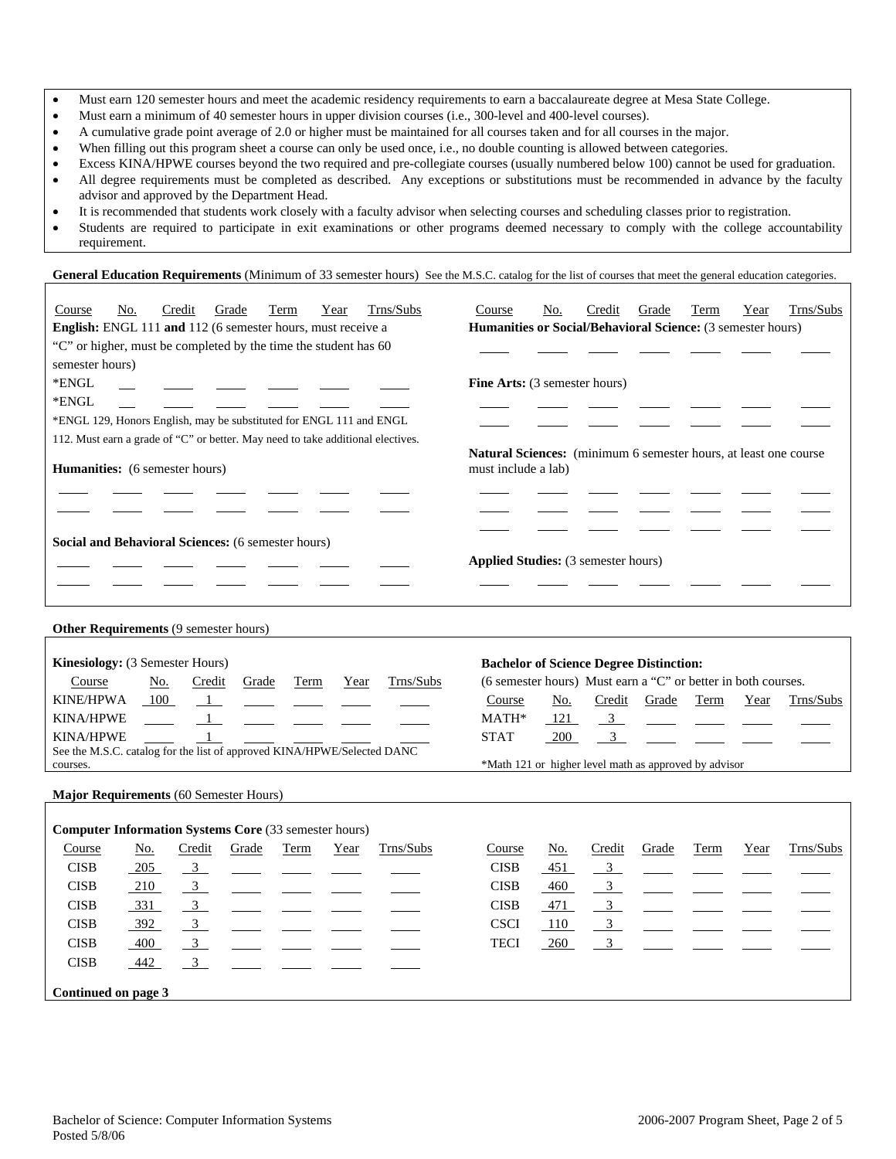- Must earn 120 semester hours and meet the academic residency requirements to earn a baccalaureate degree at Mesa State College.
- Must earn a minimum of 40 semester hours in upper division courses (i.e., 300-level and 400-level courses).
- A cumulative grade point average of 2.0 or higher must be maintained for all courses taken and for all courses in the major.
- When filling out this program sheet a course can only be used once, i.e., no double counting is allowed between categories.
- Excess KINA/HPWE courses beyond the two required and pre-collegiate courses (usually numbered below 100) cannot be used for graduation. • All degree requirements must be completed as described. Any exceptions or substitutions must be recommended in advance by the faculty advisor and approved by the Department Head.
- It is recommended that students work closely with a faculty advisor when selecting courses and scheduling classes prior to registration.
- Students are required to participate in exit examinations or other programs deemed necessary to comply with the college accountability requirement.

General Education Requirements (Minimum of 33 semester hours) See the M.S.C. catalog for the list of courses that meet the general education categories.

| Trns/Subs<br>Grade<br>No.<br>Term<br>Year<br>Course<br>Credit                   | Trns/Subs<br>Grade<br>Term<br>Year<br>Course<br>No.<br>Credit                                   |  |  |  |  |  |  |  |  |  |
|---------------------------------------------------------------------------------|-------------------------------------------------------------------------------------------------|--|--|--|--|--|--|--|--|--|
| <b>English:</b> ENGL 111 and 112 (6 semester hours, must receive a              | <b>Humanities or Social/Behavioral Science:</b> (3 semester hours)                              |  |  |  |  |  |  |  |  |  |
| "C" or higher, must be completed by the time the student has 60                 |                                                                                                 |  |  |  |  |  |  |  |  |  |
| semester hours)                                                                 |                                                                                                 |  |  |  |  |  |  |  |  |  |
| *ENGL                                                                           | <b>Fine Arts:</b> (3 semester hours)                                                            |  |  |  |  |  |  |  |  |  |
| *ENGL                                                                           |                                                                                                 |  |  |  |  |  |  |  |  |  |
| *ENGL 129, Honors English, may be substituted for ENGL 111 and ENGL             |                                                                                                 |  |  |  |  |  |  |  |  |  |
| 112. Must earn a grade of "C" or better. May need to take additional electives. |                                                                                                 |  |  |  |  |  |  |  |  |  |
| <b>Humanities:</b> (6 semester hours)                                           | <b>Natural Sciences:</b> (minimum 6 semester hours, at least one course)<br>must include a lab) |  |  |  |  |  |  |  |  |  |
| Social and Behavioral Sciences: (6 semester hours)                              | <b>Applied Studies:</b> (3 semester hours)                                                      |  |  |  |  |  |  |  |  |  |
|                                                                                 |                                                                                                 |  |  |  |  |  |  |  |  |  |
| Other Requirements (9 semester hours)                                           |                                                                                                 |  |  |  |  |  |  |  |  |  |
|                                                                                 |                                                                                                 |  |  |  |  |  |  |  |  |  |

| <b>Kinesiology:</b> (3 Semester Hours)                                  |     |               |       |      |      |           | <b>Bachelor of Science Degree Distinction:</b>                |            |        |       |      |      |                           |
|-------------------------------------------------------------------------|-----|---------------|-------|------|------|-----------|---------------------------------------------------------------|------------|--------|-------|------|------|---------------------------|
| Course                                                                  | No. | Credit        | Grade | Term | Year | Trns/Subs | (6 semester hours) Must earn a "C" or better in both courses. |            |        |       |      |      |                           |
| <b>KINE/HPWA</b>                                                        | 100 |               |       |      |      |           | Course                                                        | No.        | Credit | Grade | Term | Year | Trns/Subs                 |
| <b>KINA/HPWE</b>                                                        |     | _ _ _ _ _ _ _ |       |      |      |           | $MATH*$                                                       | <u>121</u> |        |       |      |      | <u>3</u> ____ ___ ___ ___ |
| <b>KINA/HPWE</b>                                                        |     |               |       |      |      |           | <b>STAT</b>                                                   | 200        |        |       |      |      |                           |
| See the M.S.C. catalog for the list of approved KINA/HPWE/Selected DANC |     |               |       |      |      |           |                                                               |            |        |       |      |      |                           |
| courses.                                                                |     |               |       |      |      |           | *Math 121 or higher level math as approved by advisor         |            |        |       |      |      |                           |
|                                                                         |     |               |       |      |      |           |                                                               |            |        |       |      |      |                           |

**Major Requirements** (60 Semester Hours)

|             | <b>Computer Information Systems Core</b> (33 semester hours) |                |                                                                       |      |      |           |  |             |        |                         |                                                                |      |      |           |
|-------------|--------------------------------------------------------------|----------------|-----------------------------------------------------------------------|------|------|-----------|--|-------------|--------|-------------------------|----------------------------------------------------------------|------|------|-----------|
| Course      | No.                                                          | Credit         | Grade                                                                 | Term | Year | Trns/Subs |  | Course      | No.    | Credit                  | Grade                                                          | Term | Year | Trns/Subs |
| <b>CISB</b> | $-205$                                                       |                | $\frac{3}{2}$ $\frac{1}{2}$ $\frac{1}{2}$ $\frac{1}{2}$ $\frac{1}{2}$ |      |      |           |  | <b>CISB</b> | $-451$ |                         | $\frac{3}{\sqrt{2}}$ $\frac{1}{\sqrt{2}}$ $\frac{1}{\sqrt{2}}$ |      |      |           |
| <b>CISB</b> | 210                                                          | $\overline{3}$ |                                                                       |      |      |           |  | <b>CISB</b> | 460    | 3                       |                                                                |      |      |           |
| <b>CISB</b> | 331                                                          | $\overline{3}$ |                                                                       |      |      |           |  | <b>CISB</b> | 471    | $\overline{\mathbf{3}}$ |                                                                |      |      |           |
| <b>CISB</b> | 392                                                          | $\frac{3}{2}$  |                                                                       |      |      |           |  | <b>CSCI</b> | 110    | $\frac{3}{2}$           |                                                                |      |      |           |
| <b>CISB</b> | 400                                                          | $\frac{3}{2}$  |                                                                       |      |      |           |  | <b>TECI</b> | 260    | 3                       |                                                                |      |      |           |
| <b>CISB</b> | 442                                                          |                |                                                                       |      |      |           |  |             |        |                         |                                                                |      |      |           |
|             | Continued on page 3                                          |                |                                                                       |      |      |           |  |             |        |                         |                                                                |      |      |           |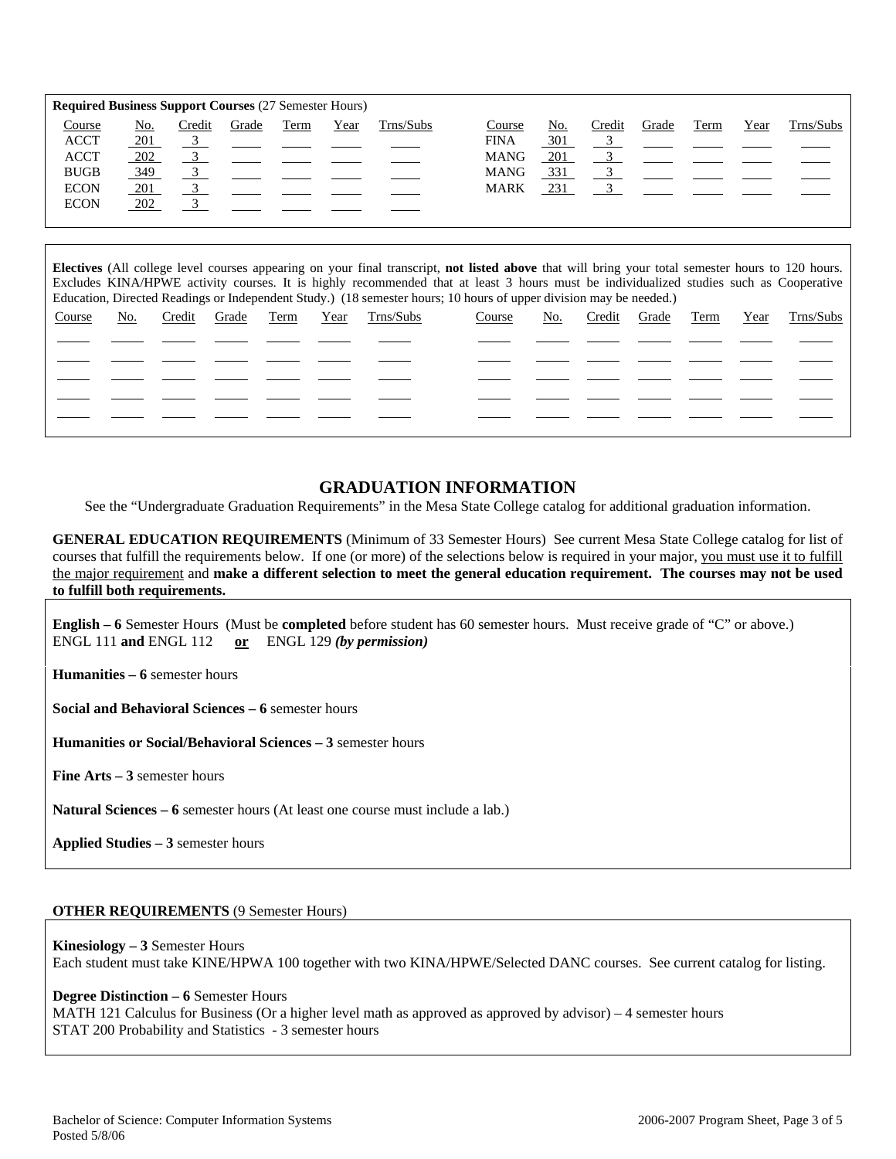|             | <b>Required Business Support Courses (27 Semester Hours)</b> |        |       |      |      |           |             |            |        |       |      |      |           |
|-------------|--------------------------------------------------------------|--------|-------|------|------|-----------|-------------|------------|--------|-------|------|------|-----------|
| Course      | <u>No.</u>                                                   | Credit | Grade | Term | Year | Trns/Subs | Course      | <u>No.</u> | Credit | Grade | Term | Year | Trns/Subs |
| <b>ACCT</b> | 201                                                          |        |       |      |      |           | <b>FINA</b> | 301        |        |       |      |      |           |
| <b>ACCT</b> | 202                                                          |        |       |      |      |           | <b>MANG</b> | 201        |        |       |      |      |           |
| <b>BUGB</b> | 349                                                          |        |       |      |      |           | <b>MANG</b> | <u>331</u> |        |       |      |      |           |
| <b>ECON</b> | 201                                                          |        |       |      |      |           | <b>MARK</b> | 231        |        |       |      |      |           |
| <b>ECON</b> | 202                                                          |        |       |      |      |           |             |            |        |       |      |      |           |
|             |                                                              |        |       |      |      |           |             |            |        |       |      |      |           |

**Electives** (All college level courses appearing on your final transcript, **not listed above** that will bring your total semester hours to 120 hours. Excludes KINA/HPWE activity courses. It is highly recommended that at least 3 hours must be individualized studies such as Cooperative Education, Directed Readings or Independent Study.) (18 semester hours; 10 hours of upper division may be needed.)

| Course | No. | Credit Grade Term |  | Year Trns/Subs | Course | <u>No.</u> |  |  | Credit Grade Term Year Trns/Subs |
|--------|-----|-------------------|--|----------------|--------|------------|--|--|----------------------------------|
|        |     |                   |  |                |        |            |  |  |                                  |
|        |     |                   |  |                |        |            |  |  |                                  |
|        |     |                   |  |                |        |            |  |  |                                  |
|        |     |                   |  |                |        |            |  |  |                                  |
|        |     |                   |  |                |        |            |  |  |                                  |
|        |     |                   |  |                |        |            |  |  |                                  |

### **GRADUATION INFORMATION**

See the "Undergraduate Graduation Requirements" in the Mesa State College catalog for additional graduation information.

**GENERAL EDUCATION REQUIREMENTS** (Minimum of 33 Semester Hours) See current Mesa State College catalog for list of courses that fulfill the requirements below. If one (or more) of the selections below is required in your major, you must use it to fulfill the major requirement and **make a different selection to meet the general education requirement. The courses may not be used to fulfill both requirements.**

**English – 6** Semester Hours (Must be **completed** before student has 60 semester hours. Must receive grade of "C" or above.) ENGL 111 **and** ENGL 112 **or** ENGL 129 *(by permission)*

**Humanities – 6** semester hours

**Social and Behavioral Sciences – 6** semester hours

**Humanities or Social/Behavioral Sciences – 3** semester hours

**Fine Arts – 3** semester hours

**Natural Sciences – 6** semester hours (At least one course must include a lab.)

**Applied Studies – 3** semester hours

#### **OTHER REQUIREMENTS** (9 Semester Hours)

**Kinesiology – 3** Semester Hours Each student must take KINE/HPWA 100 together with two KINA/HPWE/Selected DANC courses. See current catalog for listing.

#### **Degree Distinction – 6** Semester Hours

MATH 121 Calculus for Business (Or a higher level math as approved as approved by advisor) – 4 semester hours STAT 200 Probability and Statistics - 3 semester hours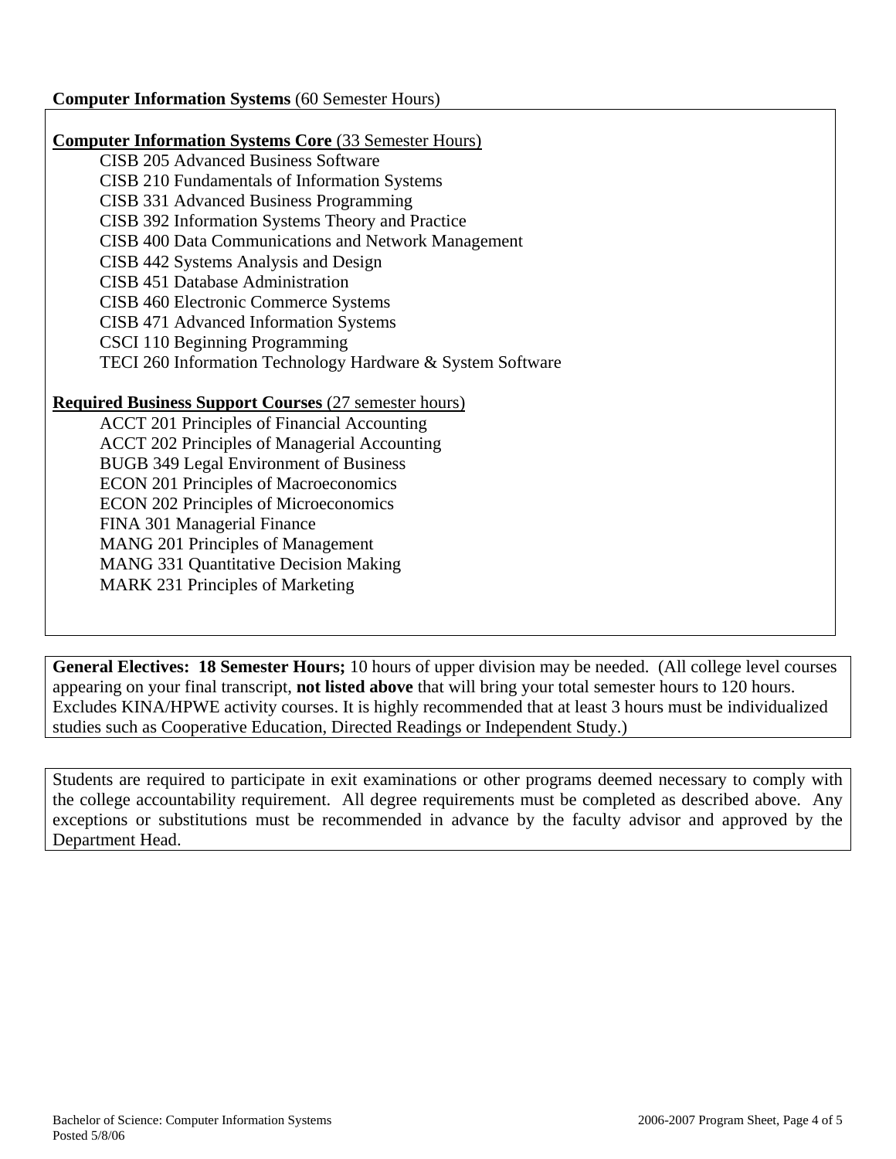# **Computer Information Systems** (60 Semester Hours)

# **Computer Information Systems Core** (33 Semester Hours)

CISB 205 Advanced Business Software CISB 210 Fundamentals of Information Systems CISB 331 Advanced Business Programming CISB 392 Information Systems Theory and Practice CISB 400 Data Communications and Network Management CISB 442 Systems Analysis and Design CISB 451 Database Administration CISB 460 Electronic Commerce Systems CISB 471 Advanced Information Systems CSCI 110 Beginning Programming TECI 260 Information Technology Hardware & System Software

# **Required Business Support Courses** (27 semester hours)

ACCT 201 Principles of Financial Accounting ACCT 202 Principles of Managerial Accounting BUGB 349 Legal Environment of Business ECON 201 Principles of Macroeconomics ECON 202 Principles of Microeconomics FINA 301 Managerial Finance MANG 201 Principles of Management MANG 331 Quantitative Decision Making MARK 231 Principles of Marketing

**General Electives: 18 Semester Hours;** 10 hours of upper division may be needed. (All college level courses appearing on your final transcript, **not listed above** that will bring your total semester hours to 120 hours. Excludes KINA/HPWE activity courses. It is highly recommended that at least 3 hours must be individualized studies such as Cooperative Education, Directed Readings or Independent Study.)

Students are required to participate in exit examinations or other programs deemed necessary to comply with the college accountability requirement. All degree requirements must be completed as described above. Any exceptions or substitutions must be recommended in advance by the faculty advisor and approved by the Department Head.